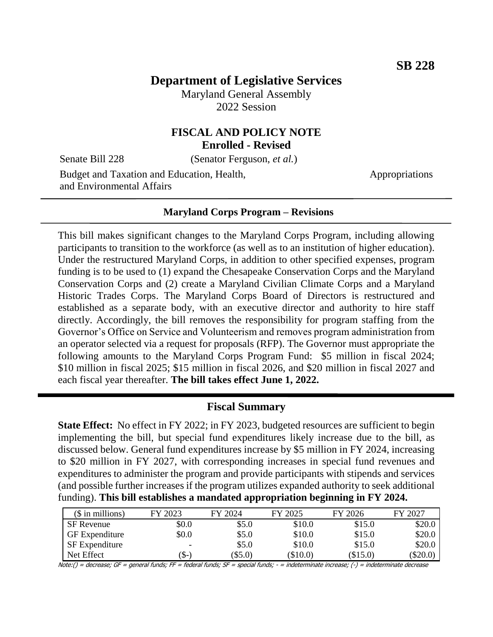# **Department of Legislative Services**

Maryland General Assembly 2022 Session

## **FISCAL AND POLICY NOTE Enrolled - Revised**

Senate Bill 228 (Senator Ferguson, *et al.*)

Budget and Taxation and Education, Health, and Environmental Affairs

Appropriations

#### **Maryland Corps Program – Revisions**

This bill makes significant changes to the Maryland Corps Program, including allowing participants to transition to the workforce (as well as to an institution of higher education). Under the restructured Maryland Corps, in addition to other specified expenses, program funding is to be used to (1) expand the Chesapeake Conservation Corps and the Maryland Conservation Corps and (2) create a Maryland Civilian Climate Corps and a Maryland Historic Trades Corps. The Maryland Corps Board of Directors is restructured and established as a separate body, with an executive director and authority to hire staff directly. Accordingly, the bill removes the responsibility for program staffing from the Governor's Office on Service and Volunteerism and removes program administration from an operator selected via a request for proposals (RFP). The Governor must appropriate the following amounts to the Maryland Corps Program Fund: \$5 million in fiscal 2024; \$10 million in fiscal 2025; \$15 million in fiscal 2026, and \$20 million in fiscal 2027 and each fiscal year thereafter. **The bill takes effect June 1, 2022.**

#### **Fiscal Summary**

**State Effect:** No effect in FY 2022; in FY 2023, budgeted resources are sufficient to begin implementing the bill, but special fund expenditures likely increase due to the bill, as discussed below. General fund expenditures increase by \$5 million in FY 2024, increasing to \$20 million in FY 2027, with corresponding increases in special fund revenues and expenditures to administer the program and provide participants with stipends and services (and possible further increases if the program utilizes expanded authority to seek additional funding). **This bill establishes a mandated appropriation beginning in FY 2024.** 

| $($$ in millions)     | FY 2023 | FY 2024 | FY 2025 | FY 2026    | FY 2027    |
|-----------------------|---------|---------|---------|------------|------------|
| <b>SF</b> Revenue     | \$0.0   | \$5.0   | \$10.0  | \$15.0     | \$20.0     |
| <b>GF</b> Expenditure | \$0.0   | \$5.0   | \$10.0  | \$15.0     | \$20.0     |
| SF Expenditure        | ۰       | \$5.0   | \$10.0  | \$15.0     | \$20.0     |
| Net Effect            | (\$-    | \$5.0   | \$10.0  | $(\$15.0)$ | $(\$20.0)$ |

Note:() = decrease; GF = general funds; FF = federal funds; SF = special funds; - = indeterminate increase; (-) = indeterminate decrease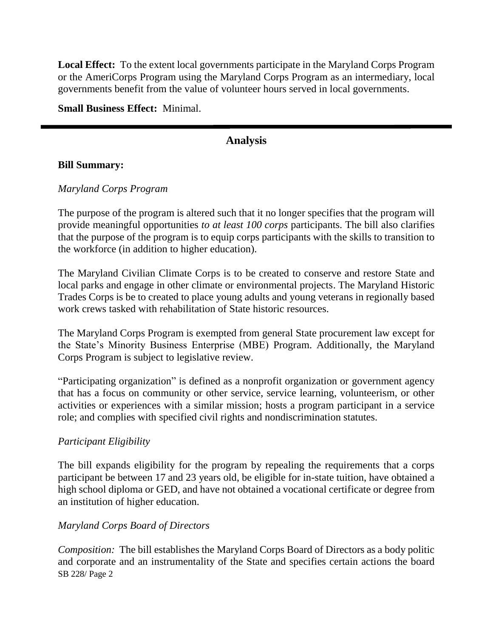**Local Effect:** To the extent local governments participate in the Maryland Corps Program or the AmeriCorps Program using the Maryland Corps Program as an intermediary, local governments benefit from the value of volunteer hours served in local governments.

**Small Business Effect:** Minimal.

# **Analysis**

#### **Bill Summary:**

### *Maryland Corps Program*

The purpose of the program is altered such that it no longer specifies that the program will provide meaningful opportunities *to at least 100 corps* participants. The bill also clarifies that the purpose of the program is to equip corps participants with the skills to transition to the workforce (in addition to higher education).

The Maryland Civilian Climate Corps is to be created to conserve and restore State and local parks and engage in other climate or environmental projects. The Maryland Historic Trades Corps is be to created to place young adults and young veterans in regionally based work crews tasked with rehabilitation of State historic resources.

The Maryland Corps Program is exempted from general State procurement law except for the State's Minority Business Enterprise (MBE) Program. Additionally, the Maryland Corps Program is subject to legislative review.

"Participating organization" is defined as a nonprofit organization or government agency that has a focus on community or other service, service learning, volunteerism, or other activities or experiences with a similar mission; hosts a program participant in a service role; and complies with specified civil rights and nondiscrimination statutes.

## *Participant Eligibility*

The bill expands eligibility for the program by repealing the requirements that a corps participant be between 17 and 23 years old, be eligible for in-state tuition, have obtained a high school diploma or GED, and have not obtained a vocational certificate or degree from an institution of higher education.

#### *Maryland Corps Board of Directors*

SB 228/ Page 2 *Composition:* The bill establishes the Maryland Corps Board of Directors as a body politic and corporate and an instrumentality of the State and specifies certain actions the board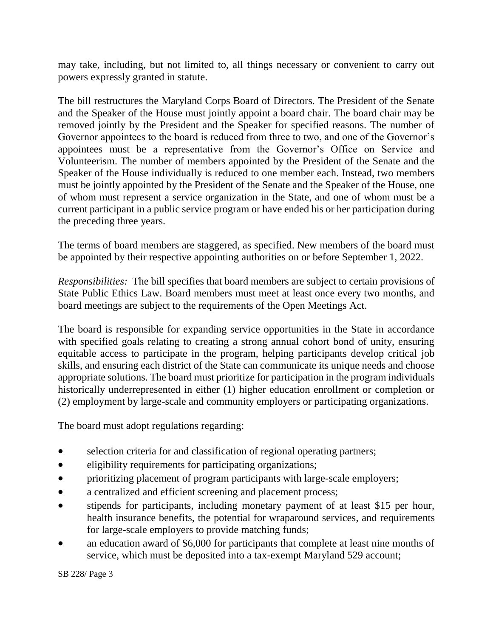may take, including, but not limited to, all things necessary or convenient to carry out powers expressly granted in statute.

The bill restructures the Maryland Corps Board of Directors. The President of the Senate and the Speaker of the House must jointly appoint a board chair. The board chair may be removed jointly by the President and the Speaker for specified reasons. The number of Governor appointees to the board is reduced from three to two, and one of the Governor's appointees must be a representative from the Governor's Office on Service and Volunteerism. The number of members appointed by the President of the Senate and the Speaker of the House individually is reduced to one member each. Instead, two members must be jointly appointed by the President of the Senate and the Speaker of the House, one of whom must represent a service organization in the State, and one of whom must be a current participant in a public service program or have ended his or her participation during the preceding three years.

The terms of board members are staggered, as specified. New members of the board must be appointed by their respective appointing authorities on or before September 1, 2022.

*Responsibilities:* The bill specifies that board members are subject to certain provisions of State Public Ethics Law. Board members must meet at least once every two months, and board meetings are subject to the requirements of the Open Meetings Act.

The board is responsible for expanding service opportunities in the State in accordance with specified goals relating to creating a strong annual cohort bond of unity, ensuring equitable access to participate in the program, helping participants develop critical job skills, and ensuring each district of the State can communicate its unique needs and choose appropriate solutions. The board must prioritize for participation in the program individuals historically underrepresented in either (1) higher education enrollment or completion or (2) employment by large-scale and community employers or participating organizations.

The board must adopt regulations regarding:

- selection criteria for and classification of regional operating partners;
- eligibility requirements for participating organizations;
- prioritizing placement of program participants with large-scale employers;
- a centralized and efficient screening and placement process;
- stipends for participants, including monetary payment of at least \$15 per hour, health insurance benefits, the potential for wraparound services, and requirements for large-scale employers to provide matching funds;
- an education award of \$6,000 for participants that complete at least nine months of service, which must be deposited into a tax-exempt Maryland 529 account;

SB 228/ Page 3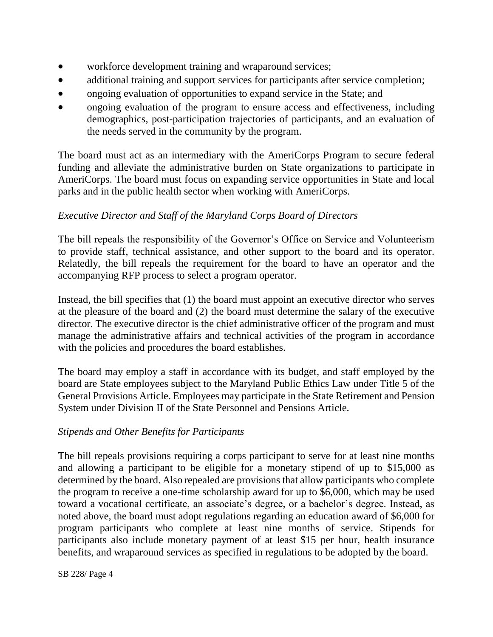- workforce development training and wraparound services;
- additional training and support services for participants after service completion;
- ongoing evaluation of opportunities to expand service in the State; and
- ongoing evaluation of the program to ensure access and effectiveness, including demographics, post-participation trajectories of participants, and an evaluation of the needs served in the community by the program.

The board must act as an intermediary with the AmeriCorps Program to secure federal funding and alleviate the administrative burden on State organizations to participate in AmeriCorps. The board must focus on expanding service opportunities in State and local parks and in the public health sector when working with AmeriCorps.

# *Executive Director and Staff of the Maryland Corps Board of Directors*

The bill repeals the responsibility of the Governor's Office on Service and Volunteerism to provide staff, technical assistance, and other support to the board and its operator. Relatedly, the bill repeals the requirement for the board to have an operator and the accompanying RFP process to select a program operator.

Instead, the bill specifies that (1) the board must appoint an executive director who serves at the pleasure of the board and (2) the board must determine the salary of the executive director. The executive director is the chief administrative officer of the program and must manage the administrative affairs and technical activities of the program in accordance with the policies and procedures the board establishes.

The board may employ a staff in accordance with its budget, and staff employed by the board are State employees subject to the Maryland Public Ethics Law under Title 5 of the General Provisions Article. Employees may participate in the State Retirement and Pension System under Division II of the State Personnel and Pensions Article.

# *Stipends and Other Benefits for Participants*

The bill repeals provisions requiring a corps participant to serve for at least nine months and allowing a participant to be eligible for a monetary stipend of up to \$15,000 as determined by the board. Also repealed are provisions that allow participants who complete the program to receive a one-time scholarship award for up to \$6,000, which may be used toward a vocational certificate, an associate's degree, or a bachelor's degree. Instead, as noted above, the board must adopt regulations regarding an education award of \$6,000 for program participants who complete at least nine months of service. Stipends for participants also include monetary payment of at least \$15 per hour, health insurance benefits, and wraparound services as specified in regulations to be adopted by the board.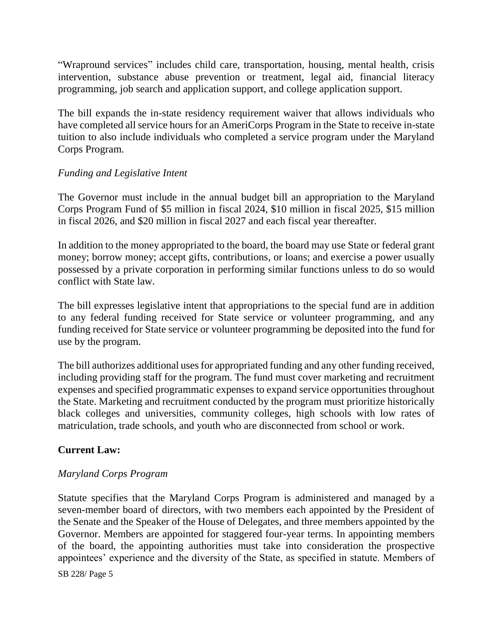"Wrapround services" includes child care, transportation, housing, mental health, crisis intervention, substance abuse prevention or treatment, legal aid, financial literacy programming, job search and application support, and college application support.

The bill expands the in-state residency requirement waiver that allows individuals who have completed all service hours for an AmeriCorps Program in the State to receive in-state tuition to also include individuals who completed a service program under the Maryland Corps Program.

## *Funding and Legislative Intent*

The Governor must include in the annual budget bill an appropriation to the Maryland Corps Program Fund of \$5 million in fiscal 2024, \$10 million in fiscal 2025, \$15 million in fiscal 2026, and \$20 million in fiscal 2027 and each fiscal year thereafter.

In addition to the money appropriated to the board, the board may use State or federal grant money; borrow money; accept gifts, contributions, or loans; and exercise a power usually possessed by a private corporation in performing similar functions unless to do so would conflict with State law.

The bill expresses legislative intent that appropriations to the special fund are in addition to any federal funding received for State service or volunteer programming, and any funding received for State service or volunteer programming be deposited into the fund for use by the program.

The bill authorizes additional uses for appropriated funding and any other funding received, including providing staff for the program. The fund must cover marketing and recruitment expenses and specified programmatic expenses to expand service opportunities throughout the State. Marketing and recruitment conducted by the program must prioritize historically black colleges and universities, community colleges, high schools with low rates of matriculation, trade schools, and youth who are disconnected from school or work.

# **Current Law:**

## *Maryland Corps Program*

Statute specifies that the Maryland Corps Program is administered and managed by a seven-member board of directors, with two members each appointed by the President of the Senate and the Speaker of the House of Delegates, and three members appointed by the Governor. Members are appointed for staggered four-year terms. In appointing members of the board, the appointing authorities must take into consideration the prospective appointees' experience and the diversity of the State, as specified in statute. Members of

SB 228/ Page 5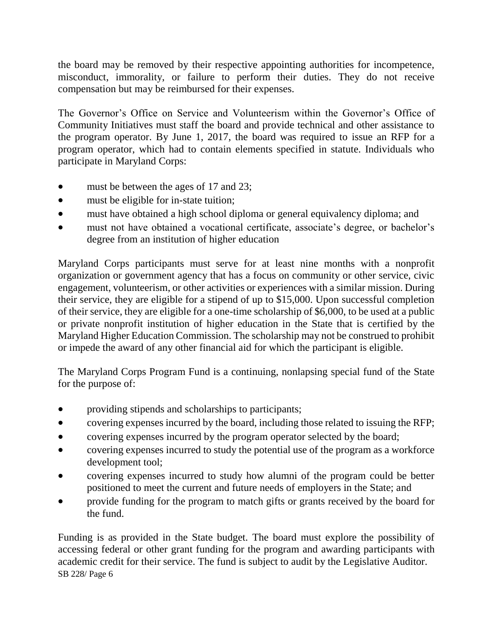the board may be removed by their respective appointing authorities for incompetence, misconduct, immorality, or failure to perform their duties. They do not receive compensation but may be reimbursed for their expenses.

The Governor's Office on Service and Volunteerism within the Governor's Office of Community Initiatives must staff the board and provide technical and other assistance to the program operator. By June 1, 2017, the board was required to issue an RFP for a program operator, which had to contain elements specified in statute. Individuals who participate in Maryland Corps:

- must be between the ages of 17 and 23;
- must be eligible for in-state tuition;
- must have obtained a high school diploma or general equivalency diploma; and
- must not have obtained a vocational certificate, associate's degree, or bachelor's degree from an institution of higher education

Maryland Corps participants must serve for at least nine months with a nonprofit organization or government agency that has a focus on community or other service, civic engagement, volunteerism, or other activities or experiences with a similar mission. During their service, they are eligible for a stipend of up to \$15,000. Upon successful completion of their service, they are eligible for a one-time scholarship of \$6,000, to be used at a public or private nonprofit institution of higher education in the State that is certified by the Maryland Higher Education Commission. The scholarship may not be construed to prohibit or impede the award of any other financial aid for which the participant is eligible.

The Maryland Corps Program Fund is a continuing, nonlapsing special fund of the State for the purpose of:

- providing stipends and scholarships to participants;
- covering expenses incurred by the board, including those related to issuing the RFP;
- covering expenses incurred by the program operator selected by the board;
- covering expenses incurred to study the potential use of the program as a workforce development tool;
- covering expenses incurred to study how alumni of the program could be better positioned to meet the current and future needs of employers in the State; and
- provide funding for the program to match gifts or grants received by the board for the fund.

SB 228/ Page 6 Funding is as provided in the State budget. The board must explore the possibility of accessing federal or other grant funding for the program and awarding participants with academic credit for their service. The fund is subject to audit by the Legislative Auditor.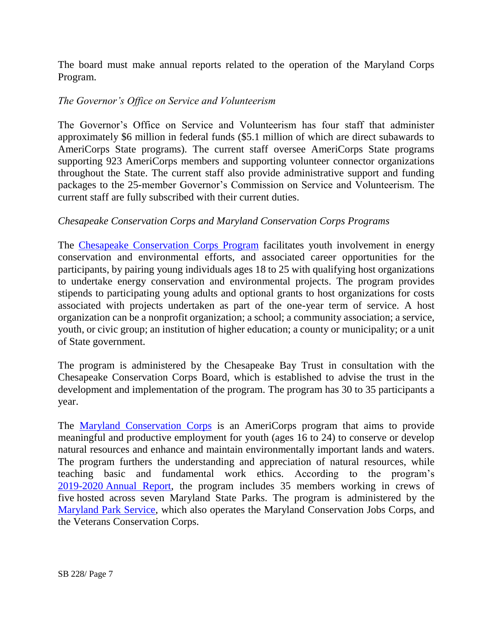The board must make annual reports related to the operation of the Maryland Corps Program.

# *The Governor's Office on Service and Volunteerism*

The Governor's Office on Service and Volunteerism has four staff that administer approximately \$6 million in federal funds (\$5.1 million of which are direct subawards to AmeriCorps State programs). The current staff oversee AmeriCorps State programs supporting 923 AmeriCorps members and supporting volunteer connector organizations throughout the State. The current staff also provide administrative support and funding packages to the 25-member Governor's Commission on Service and Volunteerism. The current staff are fully subscribed with their current duties.

# *Chesapeake Conservation Corps and Maryland Conservation Corps Programs*

The [Chesapeake Conservation Corps Program](https://cbtrust.org/chesapeake-conservation-corps/) facilitates youth involvement in energy conservation and environmental efforts, and associated career opportunities for the participants, by pairing young individuals ages 18 to 25 with qualifying host organizations to undertake energy conservation and environmental projects. The program provides stipends to participating young adults and optional grants to host organizations for costs associated with projects undertaken as part of the one-year term of service. A host organization can be a nonprofit organization; a school; a community association; a service, youth, or civic group; an institution of higher education; a county or municipality; or a unit of State government.

The program is administered by the Chesapeake Bay Trust in consultation with the Chesapeake Conservation Corps Board, which is established to advise the trust in the development and implementation of the program. The program has 30 to 35 participants a year.

The [Maryland Conservation Corps](https://dnr.maryland.gov/publiclands/pages/mcc.aspx) is an AmeriCorps program that aims to provide meaningful and productive employment for youth (ages 16 to 24) to conserve or develop natural resources and enhance and maintain environmentally important lands and waters. The program furthers the understanding and appreciation of natural resources, while teaching basic and fundamental work ethics. According to the program's 2019-2020 [Annual Report,](https://dnr.maryland.gov/publiclands/Documents/2019-2020-MCC-Annual-Repor.pdf) the program includes 35 members working in crews of five hosted across seven Maryland State Parks. The program is administered by the [Maryland Park Service,](https://dnr.maryland.gov/publiclands/Pages/outdooreduc.aspx) which also operates the Maryland Conservation Jobs Corps, and the Veterans Conservation Corps.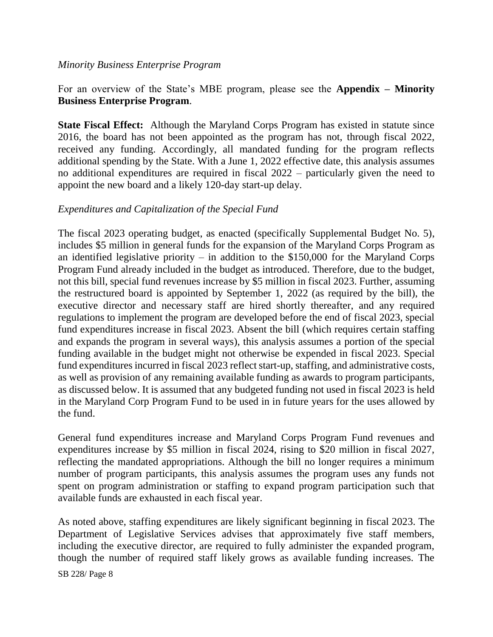#### *Minority Business Enterprise Program*

# For an overview of the State's MBE program, please see the **Appendix – Minority Business Enterprise Program**.

**State Fiscal Effect:** Although the Maryland Corps Program has existed in statute since 2016, the board has not been appointed as the program has not, through fiscal 2022, received any funding. Accordingly, all mandated funding for the program reflects additional spending by the State. With a June 1, 2022 effective date, this analysis assumes no additional expenditures are required in fiscal 2022 – particularly given the need to appoint the new board and a likely 120-day start-up delay.

### *Expenditures and Capitalization of the Special Fund*

The fiscal 2023 operating budget, as enacted (specifically Supplemental Budget No. 5), includes \$5 million in general funds for the expansion of the Maryland Corps Program as an identified legislative priority – in addition to the  $$150,000$  for the Maryland Corps Program Fund already included in the budget as introduced. Therefore, due to the budget, not this bill, special fund revenues increase by \$5 million in fiscal 2023. Further, assuming the restructured board is appointed by September 1, 2022 (as required by the bill), the executive director and necessary staff are hired shortly thereafter, and any required regulations to implement the program are developed before the end of fiscal 2023, special fund expenditures increase in fiscal 2023. Absent the bill (which requires certain staffing and expands the program in several ways), this analysis assumes a portion of the special funding available in the budget might not otherwise be expended in fiscal 2023. Special fund expenditures incurred in fiscal 2023 reflect start-up, staffing, and administrative costs, as well as provision of any remaining available funding as awards to program participants, as discussed below. It is assumed that any budgeted funding not used in fiscal 2023 is held in the Maryland Corp Program Fund to be used in in future years for the uses allowed by the fund.

General fund expenditures increase and Maryland Corps Program Fund revenues and expenditures increase by \$5 million in fiscal 2024, rising to \$20 million in fiscal 2027, reflecting the mandated appropriations. Although the bill no longer requires a minimum number of program participants, this analysis assumes the program uses any funds not spent on program administration or staffing to expand program participation such that available funds are exhausted in each fiscal year.

As noted above, staffing expenditures are likely significant beginning in fiscal 2023. The Department of Legislative Services advises that approximately five staff members, including the executive director, are required to fully administer the expanded program, though the number of required staff likely grows as available funding increases. The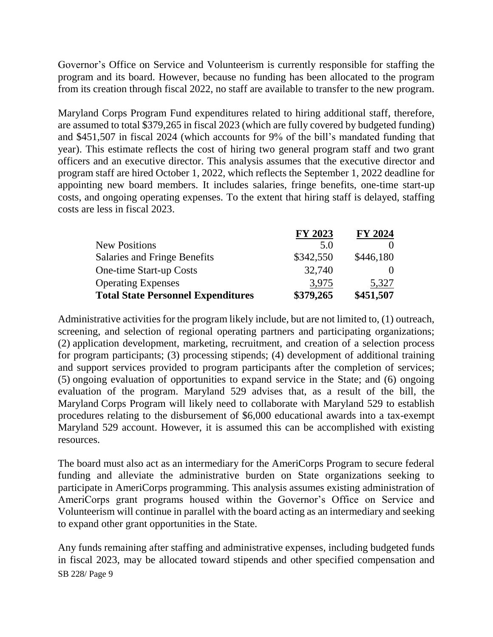Governor's Office on Service and Volunteerism is currently responsible for staffing the program and its board. However, because no funding has been allocated to the program from its creation through fiscal 2022, no staff are available to transfer to the new program.

Maryland Corps Program Fund expenditures related to hiring additional staff, therefore, are assumed to total \$379,265 in fiscal 2023 (which are fully covered by budgeted funding) and \$451,507 in fiscal 2024 (which accounts for 9% of the bill's mandated funding that year). This estimate reflects the cost of hiring two general program staff and two grant officers and an executive director. This analysis assumes that the executive director and program staff are hired October 1, 2022, which reflects the September 1, 2022 deadline for appointing new board members. It includes salaries, fringe benefits, one-time start-up costs, and ongoing operating expenses. To the extent that hiring staff is delayed, staffing costs are less in fiscal 2023.

|                                           | FY 2023   | <b>FY 2024</b> |
|-------------------------------------------|-----------|----------------|
| <b>New Positions</b>                      | 5.0       |                |
| Salaries and Fringe Benefits              | \$342,550 | \$446,180      |
| One-time Start-up Costs                   | 32,740    |                |
| <b>Operating Expenses</b>                 | 3,975     | 5,327          |
| <b>Total State Personnel Expenditures</b> | \$379,265 | \$451,507      |

Administrative activities for the program likely include, but are not limited to, (1) outreach, screening, and selection of regional operating partners and participating organizations; (2) application development, marketing, recruitment, and creation of a selection process for program participants; (3) processing stipends; (4) development of additional training and support services provided to program participants after the completion of services; (5) ongoing evaluation of opportunities to expand service in the State; and (6) ongoing evaluation of the program. Maryland 529 advises that, as a result of the bill, the Maryland Corps Program will likely need to collaborate with Maryland 529 to establish procedures relating to the disbursement of \$6,000 educational awards into a tax-exempt Maryland 529 account. However, it is assumed this can be accomplished with existing resources.

The board must also act as an intermediary for the AmeriCorps Program to secure federal funding and alleviate the administrative burden on State organizations seeking to participate in AmeriCorps programming. This analysis assumes existing administration of AmeriCorps grant programs housed within the Governor's Office on Service and Volunteerism will continue in parallel with the board acting as an intermediary and seeking to expand other grant opportunities in the State.

SB 228/ Page 9 Any funds remaining after staffing and administrative expenses, including budgeted funds in fiscal 2023, may be allocated toward stipends and other specified compensation and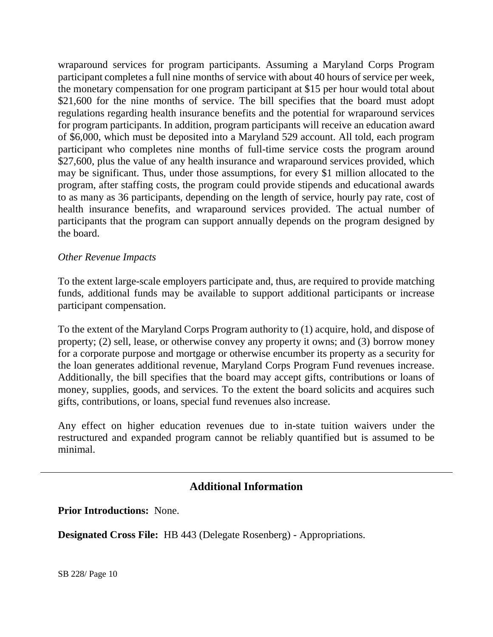wraparound services for program participants. Assuming a Maryland Corps Program participant completes a full nine months of service with about 40 hours of service per week, the monetary compensation for one program participant at \$15 per hour would total about \$21,600 for the nine months of service. The bill specifies that the board must adopt regulations regarding health insurance benefits and the potential for wraparound services for program participants. In addition, program participants will receive an education award of \$6,000, which must be deposited into a Maryland 529 account. All told, each program participant who completes nine months of full-time service costs the program around \$27,600, plus the value of any health insurance and wraparound services provided, which may be significant. Thus, under those assumptions, for every \$1 million allocated to the program, after staffing costs, the program could provide stipends and educational awards to as many as 36 participants, depending on the length of service, hourly pay rate, cost of health insurance benefits, and wraparound services provided. The actual number of participants that the program can support annually depends on the program designed by the board.

#### *Other Revenue Impacts*

To the extent large-scale employers participate and, thus, are required to provide matching funds, additional funds may be available to support additional participants or increase participant compensation.

To the extent of the Maryland Corps Program authority to (1) acquire, hold, and dispose of property; (2) sell, lease, or otherwise convey any property it owns; and (3) borrow money for a corporate purpose and mortgage or otherwise encumber its property as a security for the loan generates additional revenue, Maryland Corps Program Fund revenues increase. Additionally, the bill specifies that the board may accept gifts, contributions or loans of money, supplies, goods, and services. To the extent the board solicits and acquires such gifts, contributions, or loans, special fund revenues also increase.

Any effect on higher education revenues due to in-state tuition waivers under the restructured and expanded program cannot be reliably quantified but is assumed to be minimal.

# **Additional Information**

**Prior Introductions:** None.

**Designated Cross File:** HB 443 (Delegate Rosenberg) - Appropriations.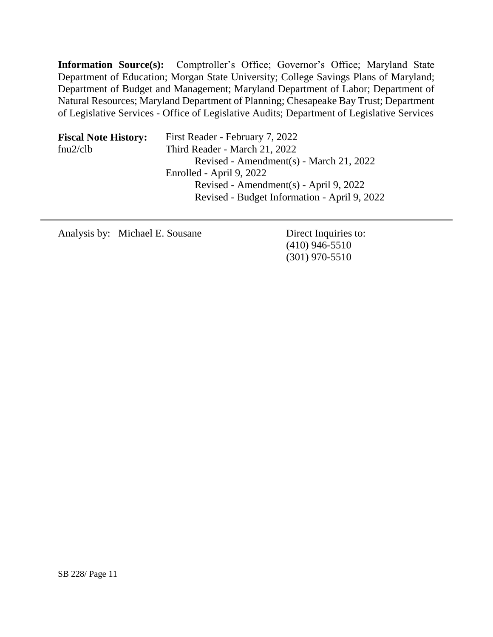**Information Source(s):** Comptroller's Office; Governor's Office; Maryland State Department of Education; Morgan State University; College Savings Plans of Maryland; Department of Budget and Management; Maryland Department of Labor; Department of Natural Resources; Maryland Department of Planning; Chesapeake Bay Trust; Department of Legislative Services - Office of Legislative Audits; Department of Legislative Services

| <b>Fiscal Note History:</b> | First Reader - February 7, 2022              |
|-----------------------------|----------------------------------------------|
| fnu2/clb                    | Third Reader - March 21, 2022                |
|                             | Revised - Amendment(s) - March 21, 2022      |
|                             | Enrolled - April 9, 2022                     |
|                             | Revised - Amendment(s) - April 9, 2022       |
|                             | Revised - Budget Information - April 9, 2022 |

Analysis by: Michael E. Sousane Direct Inquiries to:

(410) 946-5510 (301) 970-5510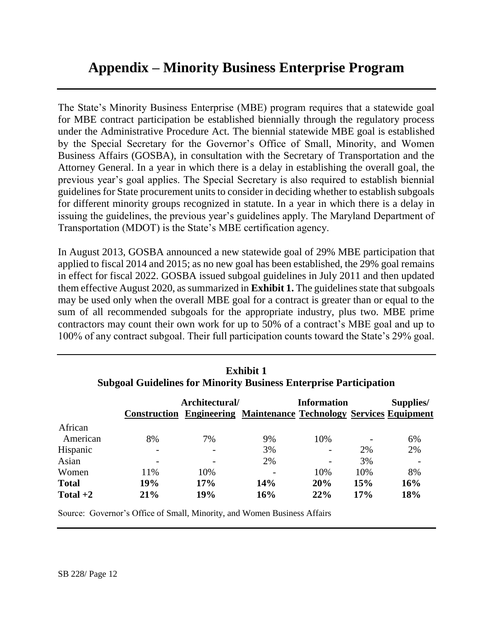# **Appendix – Minority Business Enterprise Program**

The State's Minority Business Enterprise (MBE) program requires that a statewide goal for MBE contract participation be established biennially through the regulatory process under the Administrative Procedure Act. The biennial statewide MBE goal is established by the Special Secretary for the Governor's Office of Small, Minority, and Women Business Affairs (GOSBA), in consultation with the Secretary of Transportation and the Attorney General. In a year in which there is a delay in establishing the overall goal, the previous year's goal applies. The Special Secretary is also required to establish biennial guidelines for State procurement units to consider in deciding whether to establish subgoals for different minority groups recognized in statute. In a year in which there is a delay in issuing the guidelines, the previous year's guidelines apply. The Maryland Department of Transportation (MDOT) is the State's MBE certification agency.

In August 2013, GOSBA announced a new statewide goal of 29% MBE participation that applied to fiscal 2014 and 2015; as no new goal has been established, the 29% goal remains in effect for fiscal 2022. GOSBA issued subgoal guidelines in July 2011 and then updated them effective August 2020, as summarized in **Exhibit 1.** The guidelines state that subgoals may be used only when the overall MBE goal for a contract is greater than or equal to the sum of all recommended subgoals for the appropriate industry, plus two. MBE prime contractors may count their own work for up to 50% of a contract's MBE goal and up to 100% of any contract subgoal. Their full participation counts toward the State's 29% goal.

|              | Architectural/ |     | <b>Information</b><br><b>Construction Engineering Maintenance Technology Services Equipment</b> |     |     | Supplies/ |
|--------------|----------------|-----|-------------------------------------------------------------------------------------------------|-----|-----|-----------|
| African      |                |     |                                                                                                 |     |     |           |
| American     | 8%             | 7%  | 9%                                                                                              | 10% |     | 6%        |
| Hispanic     |                |     | 3%                                                                                              |     | 2%  | 2%        |
| Asian        |                |     | 2%                                                                                              |     | 3%  |           |
| Women        | 11%            | 10% |                                                                                                 | 10% | 10% | 8%        |
| <b>Total</b> | 19%            | 17% | <b>14%</b>                                                                                      | 20% | 15% | 16%       |
| Total $+2$   | 21%            | 19% | 16%                                                                                             | 22% | 17% | 18%       |

**Exhibit 1 Subgoal Guidelines for Minority Business Enterprise Participation**

Source: Governor's Office of Small, Minority, and Women Business Affairs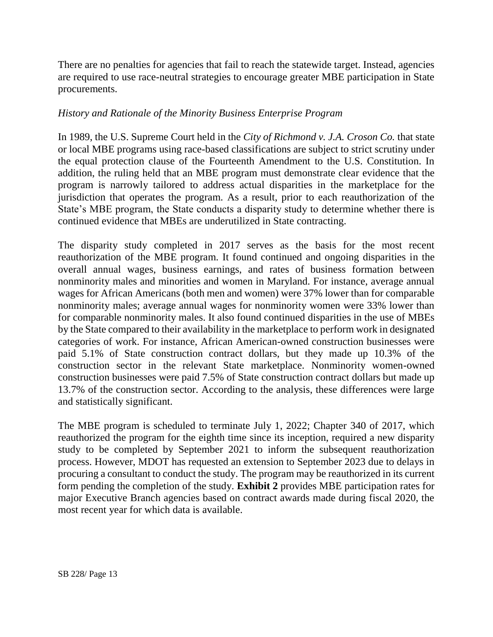There are no penalties for agencies that fail to reach the statewide target. Instead, agencies are required to use race-neutral strategies to encourage greater MBE participation in State procurements.

#### *History and Rationale of the Minority Business Enterprise Program*

In 1989, the U.S. Supreme Court held in the *City of Richmond v. J.A. Croson Co.* that state or local MBE programs using race-based classifications are subject to strict scrutiny under the equal protection clause of the Fourteenth Amendment to the U.S. Constitution. In addition, the ruling held that an MBE program must demonstrate clear evidence that the program is narrowly tailored to address actual disparities in the marketplace for the jurisdiction that operates the program. As a result, prior to each reauthorization of the State's MBE program, the State conducts a disparity study to determine whether there is continued evidence that MBEs are underutilized in State contracting.

The disparity study completed in 2017 serves as the basis for the most recent reauthorization of the MBE program. It found continued and ongoing disparities in the overall annual wages, business earnings, and rates of business formation between nonminority males and minorities and women in Maryland. For instance, average annual wages for African Americans (both men and women) were 37% lower than for comparable nonminority males; average annual wages for nonminority women were 33% lower than for comparable nonminority males. It also found continued disparities in the use of MBEs by the State compared to their availability in the marketplace to perform work in designated categories of work. For instance, African American-owned construction businesses were paid 5.1% of State construction contract dollars, but they made up 10.3% of the construction sector in the relevant State marketplace. Nonminority women-owned construction businesses were paid 7.5% of State construction contract dollars but made up 13.7% of the construction sector. According to the analysis, these differences were large and statistically significant.

The MBE program is scheduled to terminate July 1, 2022; Chapter 340 of 2017, which reauthorized the program for the eighth time since its inception, required a new disparity study to be completed by September 2021 to inform the subsequent reauthorization process. However, MDOT has requested an extension to September 2023 due to delays in procuring a consultant to conduct the study. The program may be reauthorized in its current form pending the completion of the study. **Exhibit 2** provides MBE participation rates for major Executive Branch agencies based on contract awards made during fiscal 2020, the most recent year for which data is available.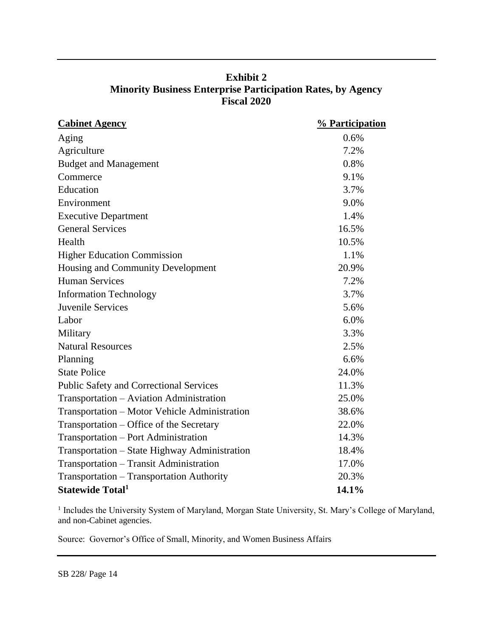| <b>Exhibit 2</b>                                                   |
|--------------------------------------------------------------------|
| <b>Minority Business Enterprise Participation Rates, by Agency</b> |
| <b>Fiscal 2020</b>                                                 |

| <b>Cabinet Agency</b>                          | % Participation |
|------------------------------------------------|-----------------|
| Aging                                          | 0.6%            |
| Agriculture                                    | 7.2%            |
| <b>Budget and Management</b>                   | 0.8%            |
| Commerce                                       | 9.1%            |
| Education                                      | 3.7%            |
| Environment                                    | 9.0%            |
| <b>Executive Department</b>                    | 1.4%            |
| <b>General Services</b>                        | 16.5%           |
| Health                                         | 10.5%           |
| <b>Higher Education Commission</b>             | 1.1%            |
| Housing and Community Development              | 20.9%           |
| <b>Human Services</b>                          | 7.2%            |
| <b>Information Technology</b>                  | 3.7%            |
| <b>Juvenile Services</b>                       | 5.6%            |
| Labor                                          | 6.0%            |
| Military                                       | 3.3%            |
| <b>Natural Resources</b>                       | 2.5%            |
| Planning                                       | 6.6%            |
| <b>State Police</b>                            | 24.0%           |
| <b>Public Safety and Correctional Services</b> | 11.3%           |
| Transportation - Aviation Administration       | 25.0%           |
| Transportation – Motor Vehicle Administration  | 38.6%           |
| Transportation – Office of the Secretary       | 22.0%           |
| Transportation - Port Administration           | 14.3%           |
| Transportation – State Highway Administration  | 18.4%           |
| Transportation - Transit Administration        | 17.0%           |
| Transportation - Transportation Authority      | 20.3%           |
| <b>Statewide Total</b> <sup>1</sup>            | 14.1%           |

<sup>1</sup> Includes the University System of Maryland, Morgan State University, St. Mary's College of Maryland, and non-Cabinet agencies.

Source: Governor's Office of Small, Minority, and Women Business Affairs